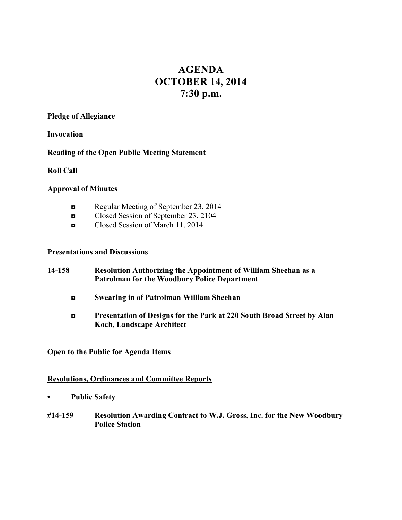# **AGENDA OCTOBER 14, 2014 7:30 p.m.**

#### **Pledge of Allegiance**

**Invocation** -

## **Reading of the Open Public Meeting Statement**

**Roll Call**

### **Approval of Minutes**

- Regular Meeting of September 23, 2014
- ◘ Closed Session of September 23, 2104
- ◘ Closed Session of March 11, 2014

## **Presentations and Discussions**

- **14-158 Resolution Authorizing the Appointment of William Sheehan as a Patrolman for the Woodbury Police Department**
	- **◘ Swearing in of Patrolman William Sheehan**
	- **◘ Presentation of Designs for the Park at 220 South Broad Street by Alan Koch, Landscape Architect**

**Open to the Public for Agenda Items**

#### **Resolutions, Ordinances and Committee Reports**

- **• Public Safety**
- **#14-159 Resolution Awarding Contract to W.J. Gross, Inc. for the New Woodbury Police Station**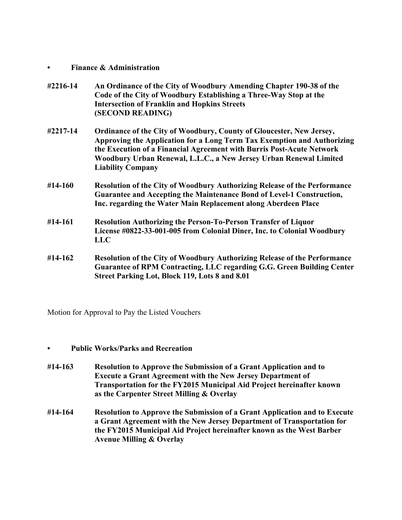- **• Finance & Administration**
- **#2216-14 An Ordinance of the City of Woodbury Amending Chapter 190-38 of the Code of the City of Woodbury Establishing a Three-Way Stop at the Intersection of Franklin and Hopkins Streets (SECOND READING)**
- **#2217-14 Ordinance of the City of Woodbury, County of Gloucester, New Jersey, Approving the Application for a Long Term Tax Exemption and Authorizing the Execution of a Financial Agreement with Burris Post-Acute Network Woodbury Urban Renewal, L.L.C., a New Jersey Urban Renewal Limited Liability Company**
- **#14-160 Resolution of the City of Woodbury Authorizing Release of the Performance Guarantee and Accepting the Maintenance Bond of Level-1 Construction, Inc. regarding the Water Main Replacement along Aberdeen Place**
- **#14-161 Resolution Authorizing the Person-To-Person Transfer of Liquor License #0822-33-001-005 from Colonial Diner, Inc. to Colonial Woodbury LLC**
- **#14-162 Resolution of the City of Woodbury Authorizing Release of the Performance Guarantee of RPM Contracting, LLC regarding G.G. Green Building Center Street Parking Lot, Block 119, Lots 8 and 8.01**

Motion for Approval to Pay the Listed Vouchers

## **• Public Works/Parks and Recreation**

- **#14-163 Resolution to Approve the Submission of a Grant Application and to Execute a Grant Agreement with the New Jersey Department of Transportation for the FY2015 Municipal Aid Project hereinafter known as the Carpenter Street Milling & Overlay**
- **#14-164 Resolution to Approve the Submission of a Grant Application and to Execute a Grant Agreement with the New Jersey Department of Transportation for the FY2015 Municipal Aid Project hereinafter known as the West Barber Avenue Milling & Overlay**